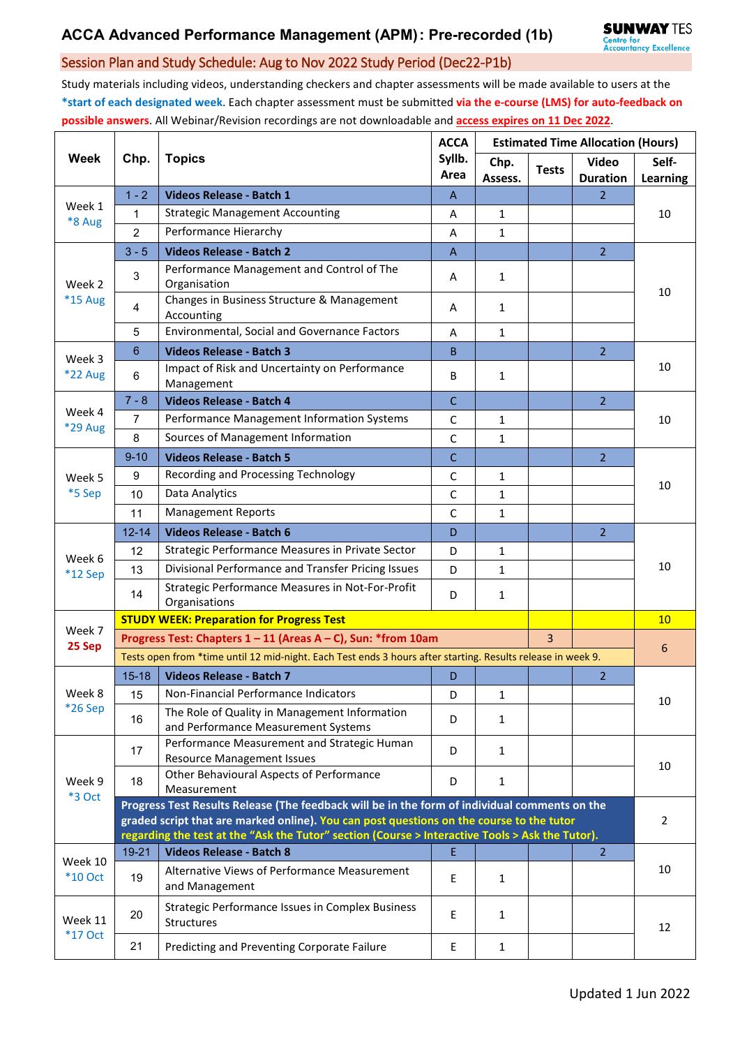## Session Plan and Study Schedule: Aug to Nov 2022 Study Period (Dec22-P1b)

Study materials including videos, understanding checkers and chapter assessments will be made available to users at the **\*start of each designated week**. Each chapter assessment must be submitted **via the e-course (LMS) for auto-feedback on possible answers**. All Webinar/Revision recordings are not downloadable and **access expires on 11 Dec 2022**.

| <b>Week</b>               | Chp.                                                                                                                                                                                        | <b>Topics</b>                                                                        | <b>ACCA</b><br>Syllb.<br>Area | <b>Estimated Time Allocation (Hours)</b> |              |                                 |                   |  |  |
|---------------------------|---------------------------------------------------------------------------------------------------------------------------------------------------------------------------------------------|--------------------------------------------------------------------------------------|-------------------------------|------------------------------------------|--------------|---------------------------------|-------------------|--|--|
|                           |                                                                                                                                                                                             |                                                                                      |                               | Chp.<br>Assess.                          | <b>Tests</b> | <b>Video</b><br><b>Duration</b> | Self-<br>Learning |  |  |
| Week 1<br>*8 Aug          | $1 - 2$                                                                                                                                                                                     | Videos Release - Batch 1                                                             | A                             |                                          |              | $\overline{2}$                  | 10                |  |  |
|                           | 1                                                                                                                                                                                           | <b>Strategic Management Accounting</b>                                               | Α                             | $\mathbf{1}$                             |              |                                 |                   |  |  |
|                           | $\overline{2}$                                                                                                                                                                              | Performance Hierarchy                                                                | A                             | $\mathbf{1}$                             |              |                                 |                   |  |  |
| Week 2<br>*15 Aug         | $3 - 5$                                                                                                                                                                                     | <b>Videos Release - Batch 2</b>                                                      | $\overline{A}$                |                                          |              | $\overline{2}$                  | 10                |  |  |
|                           | 3                                                                                                                                                                                           | Performance Management and Control of The<br>Organisation                            | A                             | $\mathbf{1}$                             |              |                                 |                   |  |  |
|                           | 4                                                                                                                                                                                           | Changes in Business Structure & Management<br>Accounting                             | A                             | $\mathbf{1}$                             |              |                                 |                   |  |  |
|                           | 5                                                                                                                                                                                           | Environmental, Social and Governance Factors                                         | А                             | 1                                        |              |                                 |                   |  |  |
| Week 3                    | 6                                                                                                                                                                                           | <b>Videos Release - Batch 3</b>                                                      | B                             |                                          |              | $\overline{2}$                  | 10                |  |  |
| <b>*22 Aug</b>            | 6                                                                                                                                                                                           | Impact of Risk and Uncertainty on Performance<br>Management                          | B                             | $\mathbf{1}$                             |              |                                 |                   |  |  |
|                           | $7 - 8$                                                                                                                                                                                     | <b>Videos Release - Batch 4</b>                                                      | $\mathsf{C}$                  |                                          |              | $\overline{2}$                  | 10                |  |  |
| Week 4<br>*29 Aug         | $\overline{7}$                                                                                                                                                                              | Performance Management Information Systems                                           | C                             | $\mathbf{1}$                             |              |                                 |                   |  |  |
|                           | 8                                                                                                                                                                                           | Sources of Management Information                                                    | $\mathsf C$                   | $\mathbf{1}$                             |              |                                 |                   |  |  |
|                           | $9 - 10$                                                                                                                                                                                    | <b>Videos Release - Batch 5</b>                                                      | $\mathsf{C}$                  |                                          |              | $\overline{2}$                  | 10                |  |  |
| Week 5                    | 9                                                                                                                                                                                           | Recording and Processing Technology                                                  | C                             | $\mathbf{1}$                             |              |                                 |                   |  |  |
| *5 Sep                    | 10                                                                                                                                                                                          | Data Analytics                                                                       | C                             | 1                                        |              |                                 |                   |  |  |
|                           | 11                                                                                                                                                                                          | <b>Management Reports</b>                                                            | С                             | 1                                        |              |                                 |                   |  |  |
|                           | $12 - 14$                                                                                                                                                                                   | <b>Videos Release - Batch 6</b>                                                      | D                             |                                          |              | $\overline{2}$                  | 10                |  |  |
|                           | 12                                                                                                                                                                                          | Strategic Performance Measures in Private Sector                                     | D                             | 1                                        |              |                                 |                   |  |  |
| Week 6<br>$*12$ Sep       | 13                                                                                                                                                                                          | Divisional Performance and Transfer Pricing Issues                                   | D                             | $\mathbf{1}$                             |              |                                 |                   |  |  |
|                           | 14                                                                                                                                                                                          | Strategic Performance Measures in Not-For-Profit<br>Organisations                    | D                             | 1                                        |              |                                 |                   |  |  |
|                           | <b>STUDY WEEK: Preparation for Progress Test</b>                                                                                                                                            |                                                                                      |                               |                                          |              |                                 |                   |  |  |
| Week 7<br>25 Sep          |                                                                                                                                                                                             | Progress Test: Chapters 1 - 11 (Areas A - C), Sun: *from 10am                        |                               | $\overline{3}$                           |              |                                 |                   |  |  |
|                           | Tests open from *time until 12 mid-night. Each Test ends 3 hours after starting. Results release in week 9.                                                                                 |                                                                                      |                               |                                          |              |                                 | 6                 |  |  |
|                           | $15 - 18$                                                                                                                                                                                   | <b>Videos Release - Batch 7</b>                                                      | D                             |                                          |              | $\overline{2}$                  |                   |  |  |
| Week 8                    | 15                                                                                                                                                                                          | Non-Financial Performance Indicators                                                 | D                             | $\mathbf{1}$                             |              |                                 | 10                |  |  |
| *26 Sep                   | 16                                                                                                                                                                                          | The Role of Quality in Management Information<br>and Performance Measurement Systems | D                             | 1                                        |              |                                 |                   |  |  |
| Week 9<br>*3 Oct          | 17                                                                                                                                                                                          | Performance Measurement and Strategic Human<br><b>Resource Management Issues</b>     | D                             | $\mathbf{1}$                             |              |                                 |                   |  |  |
|                           | 18                                                                                                                                                                                          | Other Behavioural Aspects of Performance<br>Measurement                              | D                             | 1                                        |              |                                 | 10                |  |  |
|                           | Progress Test Results Release (The feedback will be in the form of individual comments on the                                                                                               |                                                                                      |                               |                                          |              |                                 |                   |  |  |
|                           | graded script that are marked online). You can post questions on the course to the tutor<br>regarding the test at the "Ask the Tutor" section (Course > Interactive Tools > Ask the Tutor). |                                                                                      |                               |                                          |              |                                 | $\overline{2}$    |  |  |
| Week 10<br><b>*10 Oct</b> | 19-21                                                                                                                                                                                       | <b>Videos Release - Batch 8</b>                                                      | E                             |                                          |              | $\overline{2}$                  |                   |  |  |
|                           | 19                                                                                                                                                                                          | Alternative Views of Performance Measurement<br>and Management                       | E                             | $\mathbf{1}$                             |              |                                 | 10                |  |  |
| Week 11<br><b>*17 Oct</b> | 20                                                                                                                                                                                          | <b>Strategic Performance Issues in Complex Business</b><br>Structures                | Е                             | $\mathbf{1}$                             |              |                                 | 12                |  |  |
|                           | 21                                                                                                                                                                                          | Predicting and Preventing Corporate Failure                                          | Е                             | $\mathbf{1}$                             |              |                                 |                   |  |  |